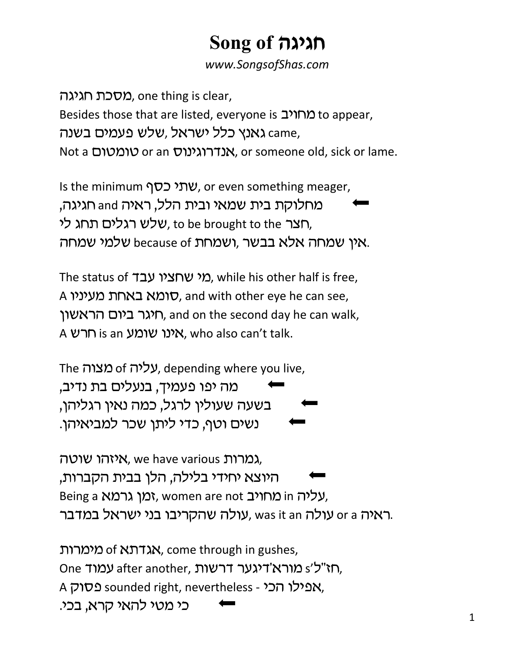## Song of **הגיגה**

www.SongsofShas.com

מסכת חגיגה $\alpha$ , one thing is clear, Besides those that are listed, everyone is מחויב to appear, , came גאנץ כלל ישראל ,שלש פעמים בשנה came Not a טומטום, or someone old, sick or lame.

Is the minimum  $\gamma$ עתי כסף, or even something meager, מחלוקת בית שמאי ובית הלל, ראיה and חגיגה, שלש רגלים תחג לי, to be brought to the הצר, י שמחה אלא בבשר ,ושמחת because of שלמי שמחה.

The status of <u>ר</u>אי שחציו עבד), while his other half is free, A הומא באחת מעיניו, and with other eye he can see, חיגר ביום הראשון, and on the second day he can walk, A אינו שומע is an אינו אום, who also can't talk.

The *טליה* of ,עליה, depending where you live, מה יפו פעמיך, בנעלים בת נדיב, בשעה שעולין לרגל, כמה נאין רגליהן, נשים וטף, כדי ליתו שכר למביאיהו.

גמרות איזהו שוטה, we have various גמרות, היוצא יחידי בלילה, הלן בבית הקברות, Being a נעליה וו מחויב, women are not , עולה שהקריבו בני ישראל במדבר. was it an עולה, was it אולה,

מימרות of אגדתא of הארות, come through in gushes, One עמוד after another, הא"ל's מורא'דיגער דרשות A אפילו הכי - sounded right, nevertheless - אפילו הכי כי מטי להאי קרא, בכי.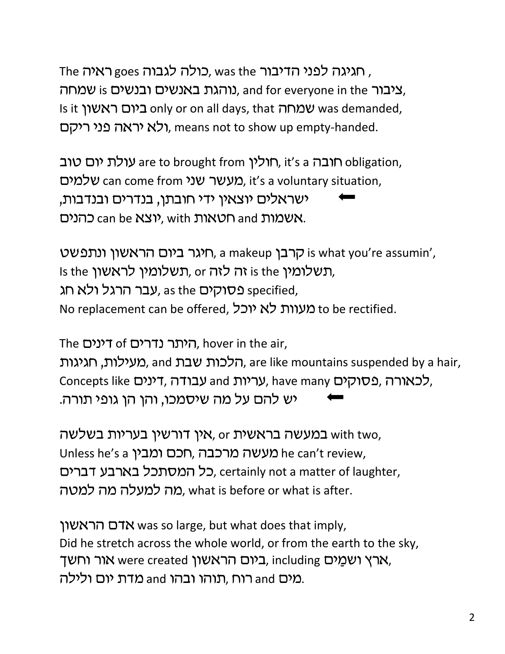The תגיגה לפני הדיבור, was the כולה לגבוה goes ראיה, ציבור and for everyone in the נוהגת באנשים ובנשים, Is it שמחה is it only or on all days, that שמחה שמחה ולא יראה פני ריקם, means not to show up empty-handed.

חולין are to brought from ,תולין ni's a חובה ה $\cap$  obligation, מעשר שני can come from אלמים, it's a voluntary situation, ישראלים יוצאין ידי חובתן, בנדרים ובנדבות, כהנים can be יוצא, with מטאות and הנים.

רבן, a makeup היגר ביום הראשון ונתפשט, a makeup הרבן Is the העלומין or הלזה לזה, or תשלומין לראשון, גבר הרגל ולא חג specified, No replacement can be offered, וכל to be rectified.

The דינים, hover in the air,

הלכות שבת and ,מעילות, חגיגות, are like mountains suspended by a hair, Concepts like עבודה, דינים, have many pלכאורה, פסוקים, יש להם על מה שיסמכו, והו הו גופי תורה.

אין דורשין בעריות בשלשה, or און with two, Unless he's a מעשה מרכבה, חכם ומבין he can't review, כל המסתכל בארבע דברים, certainly not a matter of laughter, מה למעלה מה למטה. what is before or what is after.

 was so large, but what does that imply, Did he stretch across the whole world, or from the earth to the sky, ארץ ושמַים were created ביום הראשון, including הארץ ושמַים, מים and רוח ,תוהו ובהו and מדת יום ולילה.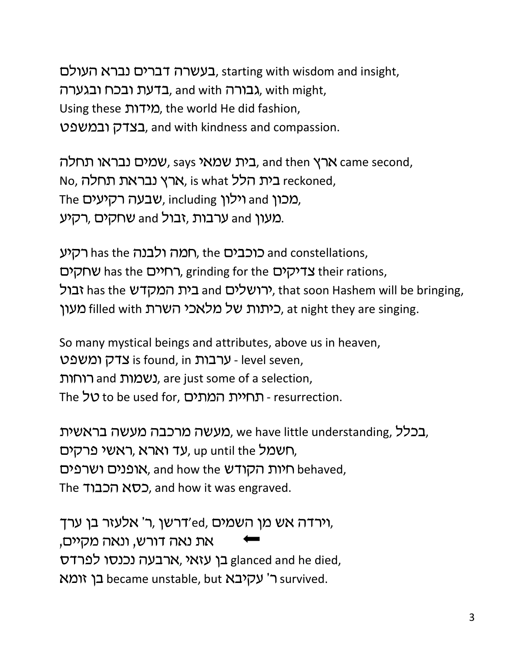, בעשרה דברים נברא העולם, starting with wisdom and insight, בדעת ובכח ובגערה, and with הבאנרה, with might, Using these (מידות , the world He did fashion, , and with kindness and compassion.

בית שמאי says שמים נבראו תחלה, and then הבית שמאי, same second, No, בית הלל , is what ארץ נבראת תחלה, No, הא The וילון including ,שבעה רקיעים, רקיע and אחקים, רקיע and .

רקיע has the כוכבים, the המה ולבנה has the רקיע  $\forall$ רחיים, grinding for the בדיקים, grinding for the שחקים ירושלים and בית המקדש has the גבול, thas the yירושלים מעון filled with כיתות של מלאכי השרת, at night they are singing.

So many mystical beings and attributes, above us in heaven, is found, in - level seven, נשמות and נשמות, are just some of a selection, The יכל to be used for, המתים - resurrection.

בכלל, we have little understanding, בכלל, ראשי פרקים, השמל, up until the עד וארא, היות הקודש hehaved, אופנים ושרפים, and how the היות ה The הכבוד, and how it was engraved.

רשן ,ר' אלעזר בן ערד, 'n, וירדה אש מן השמים, את נאה דורש, ונאה מקיים, בן עזאי, ארבעה נכנסו לפרדס glanced and he died, בן זומא became unstable, but ה' עקיבא survived.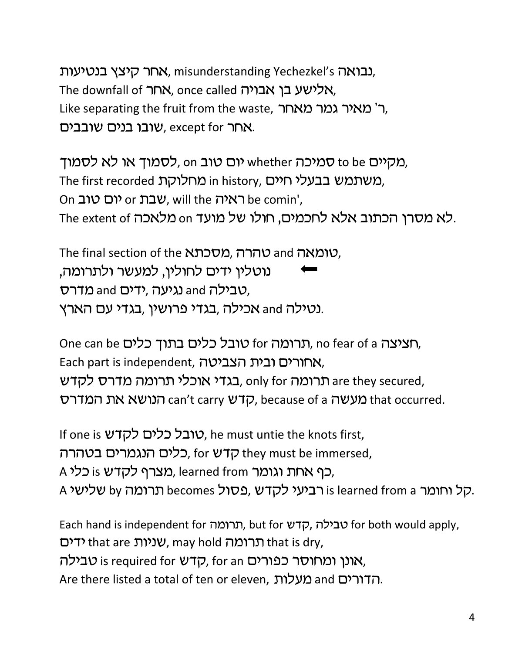בנטיעות, misunderstanding Yechezkel's גבואה, The downfall of <u>אחר</u>, once called אלישע בן אבויה, Like separating the fruit from the waste, ר' מאיר גמר מאחר, שובו בנים שובבים, except for  $n$ אחר.

מקיים to be סמיכה whether יום טוב o o לסמוך או לא לסמוך, The first recorded מחלוקת in history, משתמש בבעלי חיים, On יום טוב or שבת will the האיה, will the omin', .לא מסרן הכתוב אלא לחכמים, חולו של מועד on מלאכה The extent of

The final section of the *אסכתא, מסכתא*ה and <sub>7</sub> נוטלין ידים לחולין, למעשר ולתרומה, טבילה and נגיעה ,ידים and מדרס, נטילה and אכילה ,בגדי פרושין ,בגדי עם הארץ.

One can be הרומה for סובל כלים בתוך כלים, no fear of a הציצה, Each part is independent, אחורים ובית הצביטה, , בגדי אוכלי תרומה מדרס לקדש, only for באדי ארכלי הרומה ב הנושא את המדרס, because of a קדש can't carry קדש, because of a העשה

If one is *להדש כלים לקד*ש, he must untie the knots first, , כלים הנגמרים בטהרה, for ש they must be immersed, A כף אחת וגומר learned from, מצרף לקדש is כלי, A קל וחומר is learned from a רביעי לקדש, פסול by הקל וחומר A ה

Each hand is independent for תרומה, but for עבילה, קדש for both would apply, ידים, may hold תרומה that is dry, טבילה, for an קדש is required for קדש), for an אונן ומחוסר כפורים. Are there listed a total of ten or eleven, בדורים and מעלות